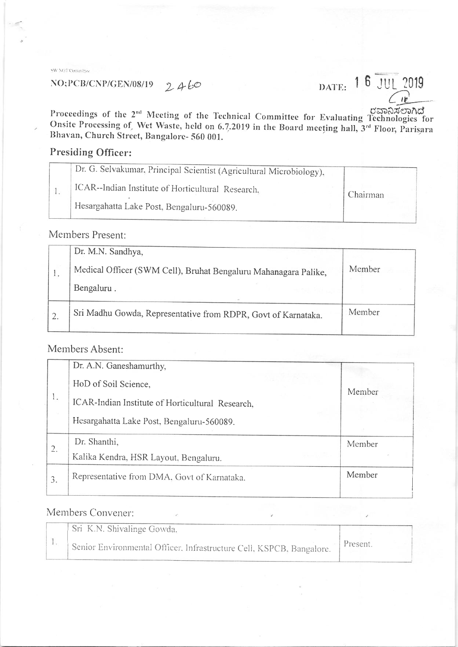SW NGT Committee

# $NO;PCB/CNP/GEN/08/19$  2460

# DATE: 1 6 JUL 2019

Proceedings of the 2<sup>nd</sup> Meeting of the Technical Committee for Evaluating Technologies for Onsite Processing of Wet Waste, held on 6.7.2019 in the Board meeting hall, 3<sup>rd</sup> Floor, Parisara Bhavan, Church Street, Bangalore- 560 001.

#### **Presiding Officer:**

| ICAR--Indian Institute of Horticultural Research, | Dr. G. Selvakumar, Principal Scientist (Agricultural Microbiology), |          |
|---------------------------------------------------|---------------------------------------------------------------------|----------|
| Hesargahatta Lake Post, Bengaluru-560089.         |                                                                     | Chairman |

## Members Present:

| Dr. M.N. Sandhya,<br>Medical Officer (SWM Cell), Bruhat Bengaluru Mahanagara Palike,<br>Bengaluru. | Member |
|----------------------------------------------------------------------------------------------------|--------|
| Sri Madhu Gowda, Representative from RDPR, Govt of Karnataka.                                      | Member |

### Members Absent:

|    | Dr. A.N. Ganeshamurthy,                          |        |
|----|--------------------------------------------------|--------|
| 1. | HoD of Soil Science,                             | Member |
|    | ICAR-Indian Institute of Horticultural Research, |        |
|    | Hesargahatta Lake Post, Bengaluru-560089.        |        |
| 2. | Dr. Shanthi,                                     | Member |
|    | Kalika Kendra, HSR Layout, Bengaluru.            |        |
| 3. | Representative from DMA, Govt of Karnataka.      | Member |

## Members Convener:

| Sri K.N. Shivalinge Gowda.                                           |          |
|----------------------------------------------------------------------|----------|
| Senior Environmental Officer, Infrastructure Cell, KSPCB, Bangalore. | Present. |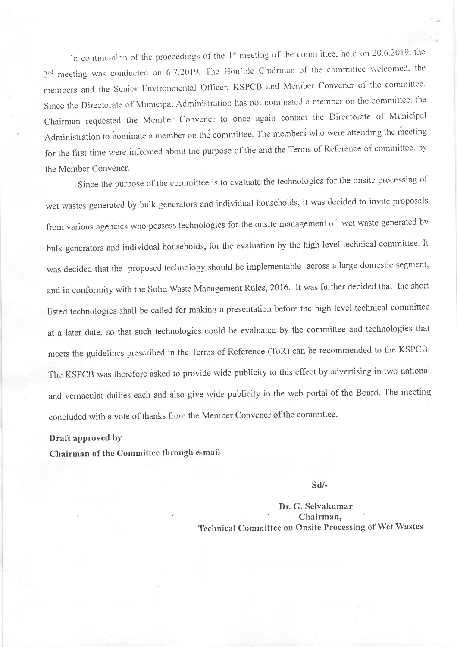In continuation of the proceedings of the 1st meeting of the committee, held on 20.6.2019, the 2<sup>nd</sup> meeting was conducted on 6.7.2019. The Hon'ble Chairman of the committee welcomed, the members and the Senior Environmental Officer, KSPCB and Member Convener of the committee. Since the Directorate of Municipal Administration has not nominated a member on the committee, the Chairman requested the Member Convener to once again contact the Directorate of Municipal Administration to nominate a member on the committee. The members who were attending the meeting for the first time were informed about the purpose of the and the Terms of Reference of committee, by the Member Convener.

Since the purpose of the committee is to evaluate the technologies for the onsite processing of wet wastes generated by bulk generators and individual households, it was decided to invite proposals from various agencies who possess technologies for the onsite management of wet waste generated by bulk generators and individual households, for the evaluation by the high level technical committee. It was decided that the proposed technology should be implementable across a large domestic segment, and in conformity with the Solid Waste Management Rules, 2016. It was further decided that the short listed technologies shall be called for making a presentation before the high level technical committee at a later date, so that such technologies could be evaluated by the committee and technologies that meets the guidelines prescribed in the Terms of Reference (ToR) can be recommended to the KSPCB. The KSPCB was therefore asked to provide wide publicity to this effect by advertising in two national and vernacular dailies each and also give wide publicity in the web portal of the Board. The meeting concluded with a vote of thanks from the Member Convener of the committee.

#### Draft approved by

Chairman of the Committee through e-mail

 $Sd$ /-

Dr. G. Selvakumar Chairman. Technical Committee on Onsite Processing of Wet Wastes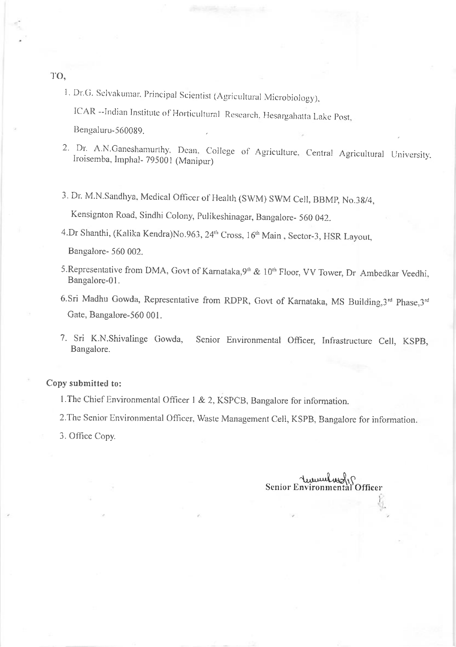1. Dr.G. Selvakumar. Principal Scientist (Agricultural Microbiology),

ICAR --Indian Institute of Horticultural Research, Hesargahatta Lake Post,

Bengaluru-560089.

- 2. Dr. A.N.Ganeshamurthy, Dean, College of Agriculture, Central Agricultural University, Iroisemba, Imphal- 795001 (Manipur)
- 3. Dr. M.N.Sandhya, Medical Officer of Health (SWM) SWM Cell, BBMP, No.38/4, Kensignton Road, Sindhi Colony, Pulikeshinagar, Bangalore- 560 042.
- 4.Dr Shanthi, (Kalika Kendra)No.963, 24th Cross, 16th Main, Sector-3, HSR Layout, Bangalore- 560 002.
- 5. Representative from DMA, Govt of Karnataka, 9<sup>th</sup> & 10<sup>th</sup> Floor, VV Tower, Dr Ambedkar Veedhi, Bangalore-01.
- 6.Sri Madhu Gowda, Representative from RDPR, Govt of Karnataka, MS Building, 3rd Phase, 3rd Gate, Bangalore-560 001.
- 7. Sri K.N.Shivalinge Gowda, Senior Environmental Officer, Infrastructure Cell, KSPB, Bangalore.

#### Copy submitted to:

- 1. The Chief Environmental Officer 1 & 2, KSPCB, Bangalore for information.
- 2. The Senior Environmental Officer, Waste Management Cell, KSPB, Bangalore for information.
- 3. Office Copy.

June de Control Senior Environmental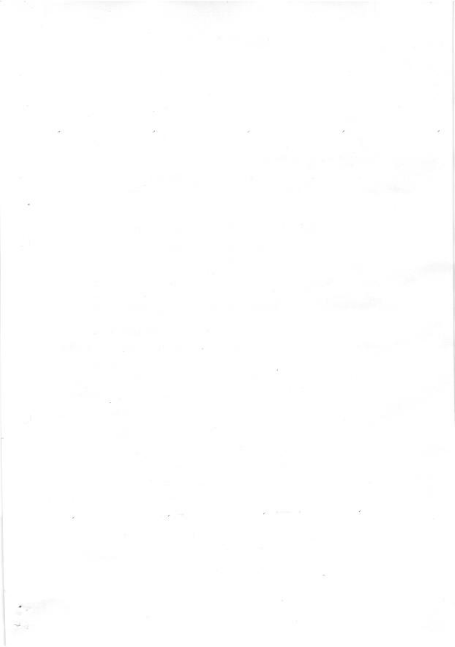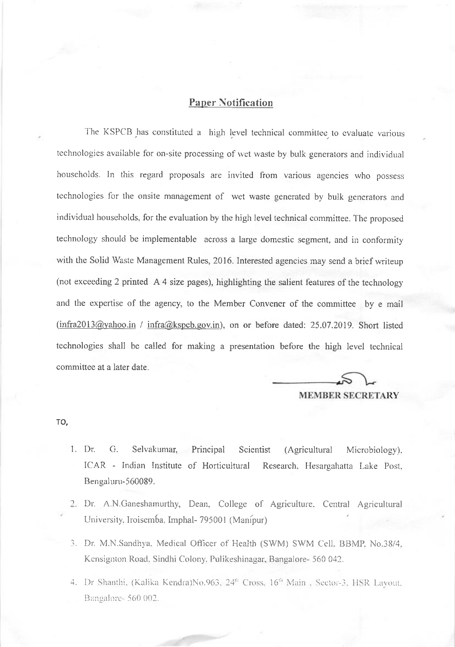#### Paper Notification

The KSPCB has constituted a high level technical committee to evaluate various technologies available for on-site processing of wet waste by bulk generators and individual households. In this regard proposals are invited from various agencies who possess technologies for the onsite management of wet waste generated bv bulk generators and individual households, for the evaluation by the high level technical commiftee. The proposed technology should be implementable across a large domestic segment, and in conformity with the Solid Waste Management Rules, 2016. Interested agencies may send a brief writeup (not exceeding 2 printed A4 size pages), highlighting the salient features of the technology and the expertise of the agency, to the Member Convener of the committee by e mail  $(infra2013@yahoo.in / infra@kspcb.gov.in)$ , on or before dated: 25.07.2019. Short listed technologies shall be called for making a presentation before the high level technical committee at a later date.

**MEMBER SECRETARY** 

TO,

- 1. Dr. G. Selvakumar, Principal Scientist (Agricultural Microbiology). ICAR - Indian Institute of Horticultural Research. Hesargahatta Lake Post. Bengaluru-560089.
- 2. Dr. A.N.Ganeshamurthy, Dean, College of Agriculture. Central Agricultural University. Iroisem6a. Imphat- 795001 (Manipur)
- 3. Dr. M.N.Sandhya, Medical Officer of Health (SWM) SWM Cell. BBMP. No.38/4. Kensignton Road. Sindhi Colony. Pulikeshinagar, Bangalore- 560 042.
- 4. Dr Shanthi. (Kalika Kendra)No.963. 24<sup>th</sup> Cross. 16<sup>th</sup> Main . Sector-3. HSR Layout. Bangalore - 560 002.